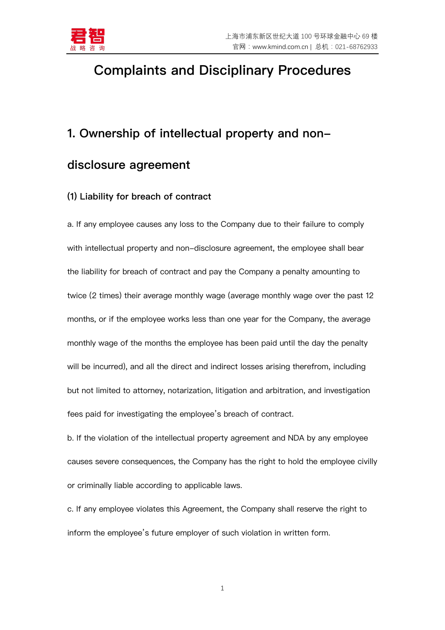

# **Complaints and Disciplinary Procedures**

## **1. Ownership of intellectual property and non-**

### **disclosure agreement**

#### **(1) Liability for breach of contract**

a. If any employee causes any loss to the Company due to their failure to comply with intellectual property and non-disclosure agreement, the employee shall bear the liability for breach of contract and pay the Company a penalty amounting to twice (2 times) their average monthly wage (average monthly wage over the past 12 months, or if the employee works less than one year for the Company, the average monthly wage of the months the employee has been paid until the day the penalty will be incurred), and all the direct and indirect losses arising therefrom, including but not limited to attorney, notarization, litigation and arbitration, and investigation fees paid for investigating the employee's breach of contract.

b. If the violation of the intellectual property agreement and NDA by any employee causes severe consequences, the Company has the right to hold the employee civilly or criminally liable according to applicable laws.

c. If any employee violates this Agreement, the Company shall reserve the right to inform the employee's future employer of such violation in written form.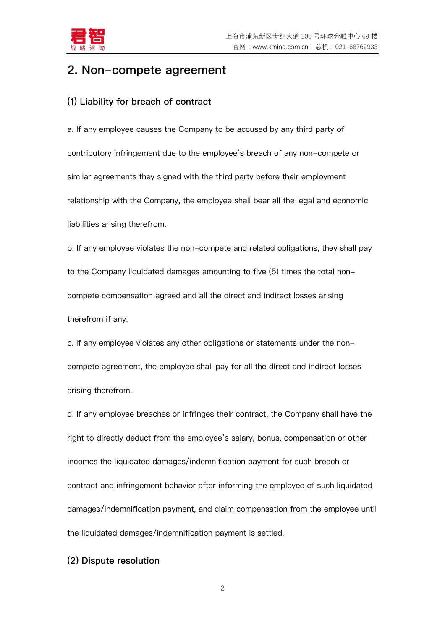

### **2. Non-compete agreement**

#### **(1) Liability for breach of contract**

a. If any employee causes the Company to be accused by any third party of contributory infringement due to the employee's breach of any non-compete or similar agreements they signed with the third party before their employment relationship with the Company, the employee shall bear all the legal and economic liabilities arising therefrom.

b. If any employee violates the non-compete and related obligations, they shall pay to the Company liquidated damages amounting to five (5) times the total noncompete compensation agreed and all the direct and indirect losses arising therefrom if any.

c. If any employee violates any other obligations or statements under the noncompete agreement, the employee shall pay for all the direct and indirect losses arising therefrom.

d. If any employee breaches or infringes their contract, the Company shall have the right to directly deduct from the employee's salary, bonus, compensation or other incomes the liquidated damages/indemnification payment for such breach or contract and infringement behavior after informing the employee of such liquidated damages/indemnification payment, and claim compensation from the employee until the liquidated damages/indemnification payment is settled.

#### **(2) Dispute resolution**

2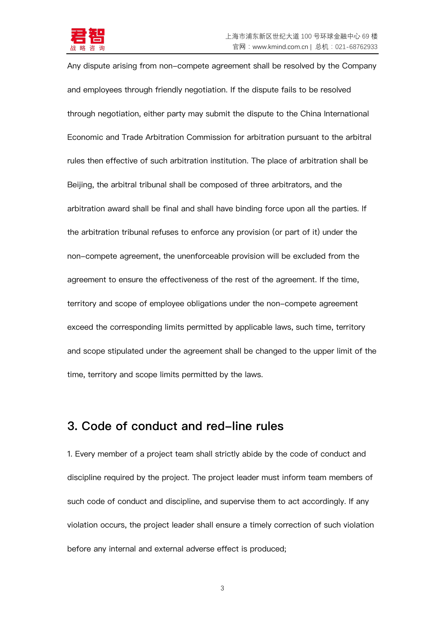

Any dispute arising from non-compete agreement shall be resolved by the Company and employees through friendly negotiation. If the dispute fails to be resolved through negotiation, either party may submit the dispute to the China International Economic and Trade Arbitration Commission for arbitration pursuant to the arbitral rules then effective of such arbitration institution. The place of arbitration shall be Beijing, the arbitral tribunal shall be composed of three arbitrators, and the arbitration award shall be final and shall have binding force upon all the parties. If the arbitration tribunal refuses to enforce any provision (or part of it) under the non-compete agreement, the unenforceable provision will be excluded from the agreement to ensure the effectiveness of the rest of the agreement. If the time, territory and scope of employee obligations under the non-compete agreement exceed the corresponding limits permitted by applicable laws, such time, territory and scope stipulated under the agreement shall be changed to the upper limit of the time, territory and scope limits permitted by the laws.

### **3. Code of conduct and red-line rules**

1. Every member of a project team shall strictly abide by the code of conduct and discipline required by the project. The project leader must inform team members of such code of conduct and discipline, and supervise them to act accordingly. If any violation occurs, the project leader shall ensure a timely correction of such violation before any internal and external adverse effect is produced;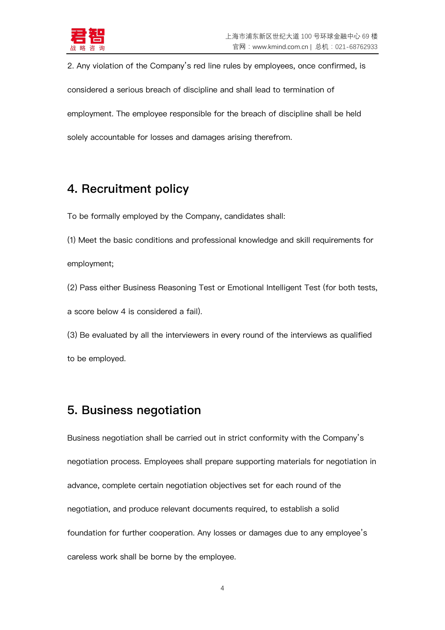2. Any violation of the Company's red line rules by employees, once confirmed, is considered a serious breach of discipline and shall lead to termination of employment. The employee responsible for the breach of discipline shall be held solely accountable for losses and damages arising therefrom.

## **4. Recruitment policy**

To be formally employed by the Company, candidates shall:

(1) Meet the basic conditions and professional knowledge and skill requirements for

employment;

(2) Pass either Business Reasoning Test or Emotional Intelligent Test (for both tests,

a score below 4 is considered a fail).

(3) Be evaluated by all the interviewers in every round of the interviews as qualified to be employed.

## **5. Business negotiation**

Business negotiation shall be carried out in strict conformity with the Company's negotiation process. Employees shall prepare supporting materials for negotiation in advance, complete certain negotiation objectives set for each round of the negotiation, and produce relevant documents required, to establish a solid foundation for further cooperation. Any losses or damages due to any employee's careless work shall be borne by the employee.